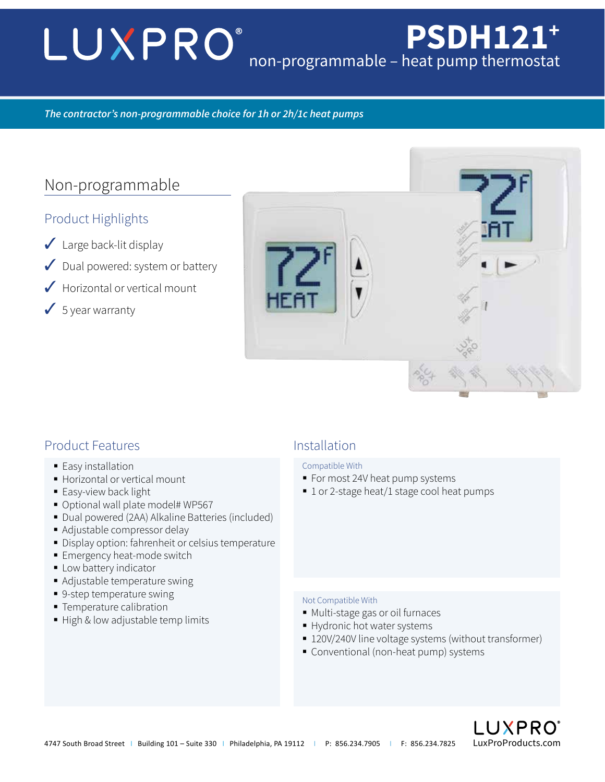# LUXPRO® **PSDH121+** non-programmable – heat pump thermostat

## *The contractor's non-programmable choice for 1h or 2h/1c heat pumps*

# Non-programmable

## Product Highlights

- $\sqrt{\phantom{a}}$  Large back-lit display
- ✓ Dual powered: system or battery
- $\sqrt{\frac{1}{100}}$  Horizontal or vertical mount
- $\checkmark$  5 year warranty



## Product Features and This Installation

- Easy installation
- **Horizontal or vertical mount**
- **Easy-view back light**
- Optional wall plate model# WP567
- Dual powered (2AA) Alkaline Batteries (included)
- Adjustable compressor delay
- Display option: fahrenheit or celsius temperature
- **Emergency heat-mode switch**
- **Low battery indicator**
- Adjustable temperature swing
- 9-step temperature swing
- **Temperature calibration**
- High & low adjustable temp limits

### Compatible With

- **For most 24V heat pump systems**
- 1 or 2-stage heat/1 stage cool heat pumps

### Not Compatible With

- Multi-stage gas or oil furnaces
- Hydronic hot water systems
- 120V/240V line voltage systems (without transformer)
- Conventional (non-heat pump) systems